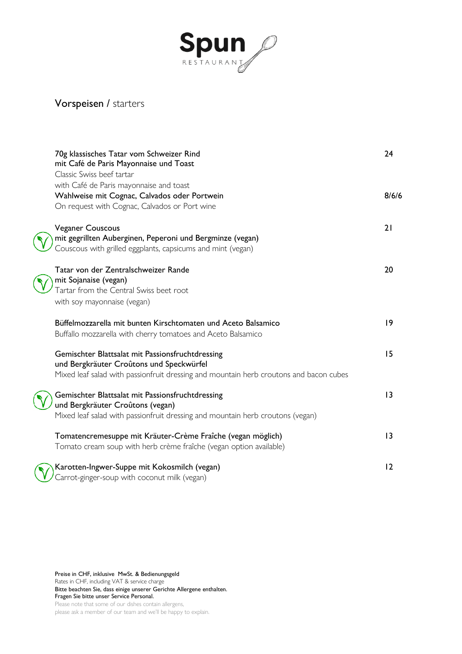

# Vorspeisen / starters

| 70g klassisches Tatar vom Schweizer Rind<br>mit Café de Paris Mayonnaise und Toast<br>Classic Swiss beef tartar                                                                        | 24    |
|----------------------------------------------------------------------------------------------------------------------------------------------------------------------------------------|-------|
| with Café de Paris mayonnaise and toast<br>Wahlweise mit Cognac, Calvados oder Portwein<br>On request with Cognac, Calvados or Port wine                                               | 8/6/6 |
| <b>Veganer Couscous</b><br>mit gegrillten Auberginen, Peperoni und Bergminze (vegan)<br>Couscous with grilled eggplants, capsicums and mint (vegan)                                    | 21    |
| Tatar von der Zentralschweizer Rande<br>mit Sojanaise (vegan)<br>Tartar from the Central Swiss beet root<br>with soy mayonnaise (vegan)                                                | 20    |
| Büffelmozzarella mit bunten Kirschtomaten und Aceto Balsamico<br>Buffallo mozzarella with cherry tomatoes and Aceto Balsamico                                                          | 9     |
| Gemischter Blattsalat mit Passionsfruchtdressing<br>und Bergkräuter Croûtons und Speckwürfel<br>Mixed leaf salad with passionfruit dressing and mountain herb croutons and bacon cubes | 15    |
| Gemischter Blattsalat mit Passionsfruchtdressing<br>und Bergkräuter Croûtons (vegan)<br>Mixed leaf salad with passionfruit dressing and mountain herb croutons (vegan)                 | 3     |
| Tomatencremesuppe mit Kräuter-Crème Fraîche (vegan möglich)<br>Tomato cream soup with herb crème fraîche (vegan option available)                                                      | 3     |
| Karotten-Ingwer-Suppe mit Kokosmilch (vegan)<br>Carrot-ginger-soup with coconut milk (vegan)                                                                                           | 12    |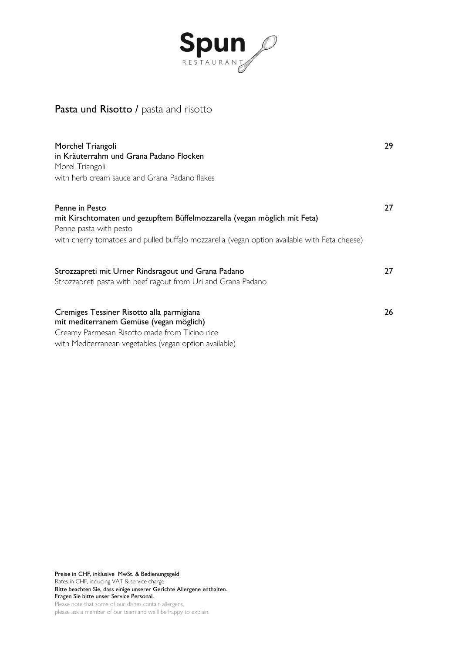

## Pasta und Risotto / pasta and risotto

| Morchel Triangoli<br>in Kräuterrahm und Grana Padano Flocken<br>Morel Triangoli<br>with herb cream sauce and Grana Padano flakes                                                                                      | 29 |
|-----------------------------------------------------------------------------------------------------------------------------------------------------------------------------------------------------------------------|----|
| Penne in Pesto<br>mit Kirschtomaten und gezupftem Büffelmozzarella (vegan möglich mit Feta)<br>Penne pasta with pesto<br>with cherry tomatoes and pulled buffalo mozzarella (vegan option available with Feta cheese) | 27 |
| Strozzapreti mit Urner Rindsragout und Grana Padano<br>Strozzapreti pasta with beef ragout from Uri and Grana Padano                                                                                                  | 27 |
| Cremiges Tessiner Risotto alla parmigiana<br>mit mediterranem Gemüse (vegan möglich)<br>Creamy Parmesan Risotto made from Ticino rice<br>with Mediterranean vegetables (vegan option available)                       | 26 |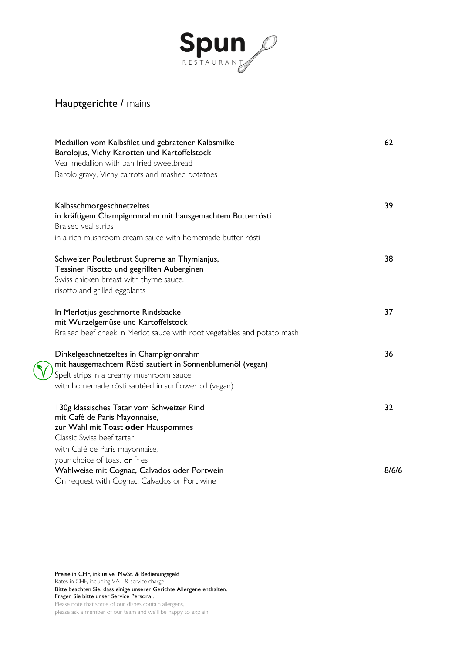

# Hauptgerichte / mains

 $\mathbf{\hat{V}}$ 

| Medaillon vom Kalbsfilet und gebratener Kalbsmilke<br>Barolojus, Vichy Karotten und Kartoffelstock<br>Veal medallion with pan fried sweetbread | 62    |
|------------------------------------------------------------------------------------------------------------------------------------------------|-------|
| Barolo gravy, Vichy carrots and mashed potatoes                                                                                                |       |
| Kalbsschmorgeschnetzeltes                                                                                                                      | 39    |
| in kräftigem Champignonrahm mit hausgemachtem Butterrösti<br>Braised veal strips                                                               |       |
| in a rich mushroom cream sauce with homemade butter rösti                                                                                      |       |
| Schweizer Pouletbrust Supreme an Thymianjus,                                                                                                   | 38    |
| Tessiner Risotto und gegrillten Auberginen                                                                                                     |       |
| Swiss chicken breast with thyme sauce,                                                                                                         |       |
| risotto and grilled eggplants                                                                                                                  |       |
| In Merlotjus geschmorte Rindsbacke                                                                                                             | 37    |
| mit Wurzelgemüse und Kartoffelstock                                                                                                            |       |
| Braised beef cheek in Merlot sauce with root vegetables and potato mash                                                                        |       |
| Dinkelgeschnetzeltes in Champignonrahm                                                                                                         | 36    |
| mit hausgemachtem Rösti sautiert in Sonnenblumenöl (vegan)                                                                                     |       |
| Spelt strips in a creamy mushroom sauce                                                                                                        |       |
| with homemade rösti sautéed in sunflower oil (vegan)                                                                                           |       |
| 130g klassisches Tatar vom Schweizer Rind                                                                                                      | 32    |
| mit Café de Paris Mayonnaise,                                                                                                                  |       |
| zur Wahl mit Toast oder Hauspommes                                                                                                             |       |
| Classic Swiss beef tartar                                                                                                                      |       |
| with Café de Paris mayonnaise,                                                                                                                 |       |
| your choice of toast or fries                                                                                                                  |       |
| Wahlweise mit Cognac, Calvados oder Portwein                                                                                                   | 8/6/6 |
| On request with Cognac, Calvados or Port wine                                                                                                  |       |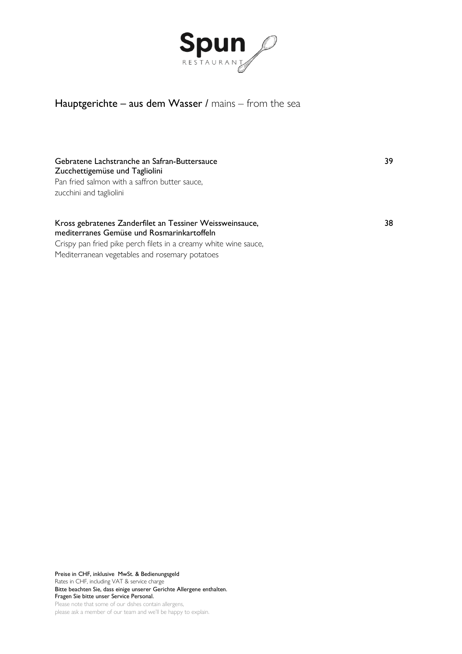

## Hauptgerichte – aus dem Wasser / mains – from the sea

#### Gebratene Lachstranche an Safran-Buttersauce 39 and 39 Zucchettigemüse und Tagliolini

Pan fried salmon with a saffron butter sauce, zucchini and tagliolini

#### Kross gebratenes Zanderfilet an Tessiner Weissweinsauce, 38 mediterranes Gemüse und Rosmarinkartoffeln

Crispy pan fried pike perch filets in a creamy white wine sauce, Mediterranean vegetables and rosemary potatoes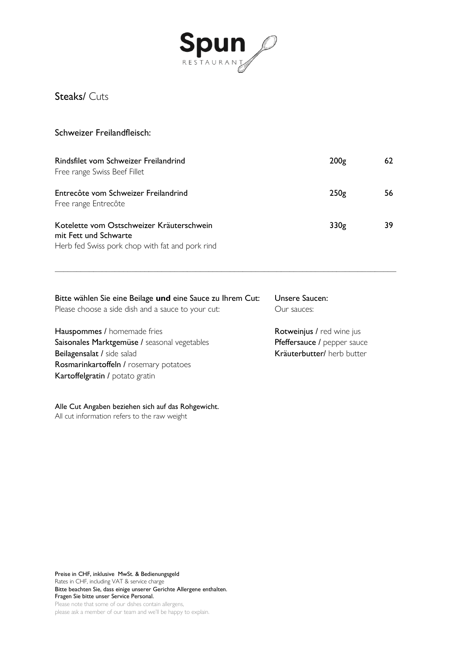

Steaks/ Cuts

#### Schweizer Freilandfleisch:

Rosmarinkartoffeln / [rosemary](https://www.linguee.de/englisch-deutsch/uebersetzung/rosemary+potatoes.html) potatoes

All cut information refers to the raw weight

Alle Cut Angaben beziehen sich auf das Rohgewicht.

Kartoffelgratin / potato gratin

| Rindsfilet vom Schweizer Freilandrind<br>Free range Swiss Beef Fillet                                                 | 200g             | 62 |
|-----------------------------------------------------------------------------------------------------------------------|------------------|----|
| Entrecôte vom Schweizer Freilandrind<br>Free range Entrecôte                                                          | 250 <sub>g</sub> | 56 |
| Kotelette vom Ostschweizer Kräuterschwein<br>mit Fett und Schwarte<br>Herb fed Swiss pork chop with fat and pork rind | 330g             | 39 |

\_\_\_\_\_\_\_\_\_\_\_\_\_\_\_\_\_\_\_\_\_\_\_\_\_\_\_\_\_\_\_\_\_\_\_\_\_\_\_\_\_\_\_\_\_\_\_\_\_\_\_\_\_\_\_\_\_\_\_\_\_\_\_\_\_\_\_\_\_\_\_\_\_\_\_\_\_\_\_\_

| Bitte wählen Sie eine Beilage und eine Sauce zu Ihrem Cut:<br>Please choose a side dish and a sauce to your cut: | Unsere Saucen:<br>Our sauces:    |
|------------------------------------------------------------------------------------------------------------------|----------------------------------|
| Hauspommes / homemade fries                                                                                      | <b>Rotweinjus / red wine jus</b> |
| Saisonales Marktgemüse / seasonal vegetables                                                                     | Pfeffersauce / pepper sauce      |
| Beilagensalat / side salad                                                                                       | Kräuterbutter/ herb butter       |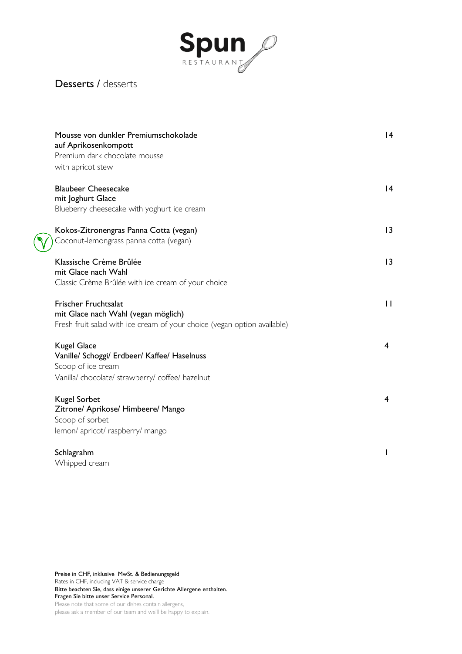

#### Desserts / desserts

| Mousse von dunkler Premiumschokolade<br>auf Aprikosenkompott<br>Premium dark chocolate mousse<br>with apricot stew                       | 4            |
|------------------------------------------------------------------------------------------------------------------------------------------|--------------|
| <b>Blaubeer Cheesecake</b><br>mit Joghurt Glace<br>Blueberry cheesecake with yoghurt ice cream                                           | 4            |
| Kokos-Zitronengras Panna Cotta (vegan)<br>Coconut-lemongrass panna cotta (vegan)                                                         | 13           |
| Klassische Crème Brûlée<br>mit Glace nach Wahl<br>Classic Crème Brûlée with ice cream of your choice                                     | 3            |
| Frischer Fruchtsalat<br>mit Glace nach Wahl (vegan möglich)<br>Fresh fruit salad with ice cream of your choice (vegan option available)  | $\mathbf{H}$ |
| <b>Kugel Glace</b><br>Vanille/ Schoggi/ Erdbeer/ Kaffee/ Haselnuss<br>Scoop of ice cream<br>Vanilla/chocolate/strawberry/coffee/hazelnut | 4            |
| <b>Kugel Sorbet</b><br>Zitrone/ Aprikose/ Himbeere/ Mango<br>Scoop of sorbet<br>lemon/ apricot/ raspberry/ mango                         | 4            |
| Schlagrahm<br>Whipped cream                                                                                                              | I            |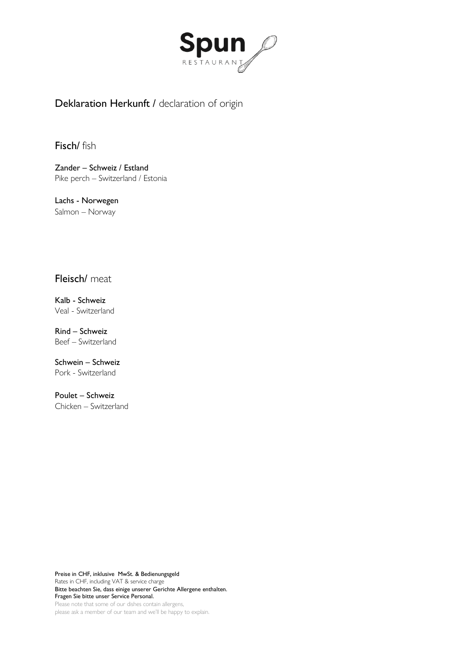

# Deklaration Herkunft / declaration of origin

#### Fisch/ fish

Zander – Schweiz / Estland Pike perch – Switzerland / Estonia

Lachs - Norwegen Salmon – Norway

#### Fleisch/ meat

Kalb - Schweiz Veal - Switzerland

Rind – Schweiz Beef – Switzerland

Schwein – Schweiz Pork - Switzerland

Poulet – Schweiz Chicken – Switzerland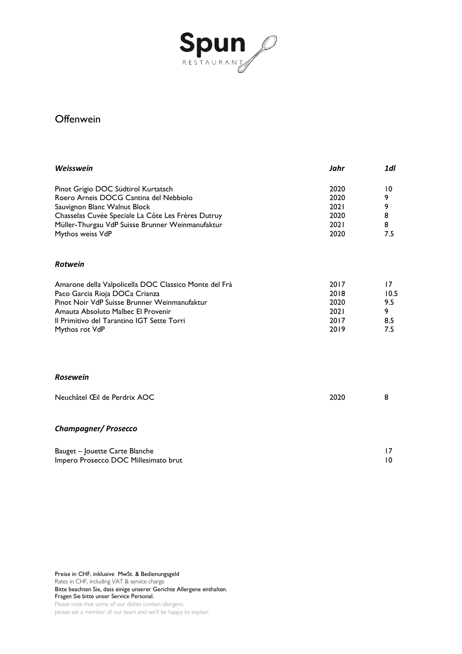

#### **Offenwein**

| Weisswein                                                                                                                                                                                                                                     | Jahr                                         | 1dl                                  |
|-----------------------------------------------------------------------------------------------------------------------------------------------------------------------------------------------------------------------------------------------|----------------------------------------------|--------------------------------------|
| Pinot Grigio DOC Südtirol Kurtatsch<br>Roero Arneis DOCG Cantina del Nebbiolo<br>Sauvignon Blanc Walnut Block<br>Chasselas Cuvée Speciale La Côte Les Frères Dutruy<br>Müller-Thurgau VdP Suisse Brunner Weinmanufaktur<br>Mythos weiss VdP   | 2020<br>2020<br>2021<br>2020<br>2021<br>2020 | 10<br>9<br>9<br>8<br>8<br>7.5        |
| <b>Rotwein</b>                                                                                                                                                                                                                                |                                              |                                      |
| Amarone della Valpolicella DOC Classico Monte del Frà<br>Paco Garcia Rioja DOCa Crianza<br>Pinot Noir VdP Suisse Brunner Weinmanufaktur<br>Amauta Absoluto Malbec El Provenir<br>Il Primitivo del Tarantino IGT Sette Torri<br>Mythos rot VdP | 2017<br>2018<br>2020<br>2021<br>2017<br>2019 | 17<br>10.5<br>9.5<br>9<br>8.5<br>7.5 |
| <b>Rosewein</b>                                                                                                                                                                                                                               |                                              |                                      |
| Neuchâtel Œil de Perdrix AOC                                                                                                                                                                                                                  | 2020                                         | 8                                    |
| <b>Champagner/Prosecco</b>                                                                                                                                                                                                                    |                                              |                                      |
| Bauget - Jouette Carte Blanche<br>Impero Prosecco DOC Millesimato brut                                                                                                                                                                        |                                              | 17<br>10                             |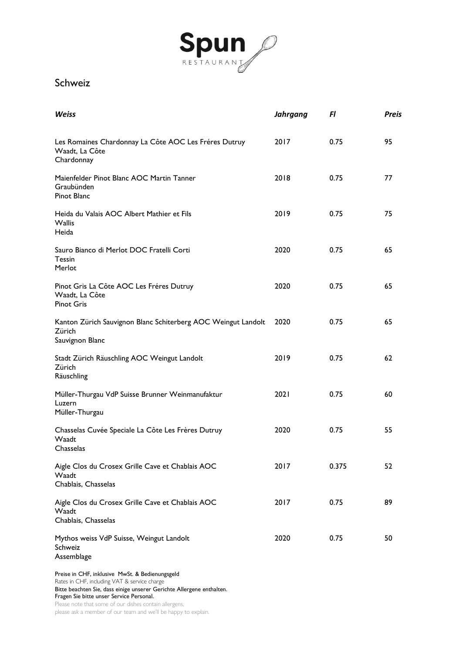

#### Schweiz

| <b>Weiss</b>                                                                               | <b>Jahrgang</b> | Fl    | <b>Preis</b> |
|--------------------------------------------------------------------------------------------|-----------------|-------|--------------|
| Les Romaines Chardonnay La Côte AOC Les Fréres Dutruy<br>Waadt, La Côte<br>Chardonnay      | 2017            | 0.75  | 95           |
| Maienfelder Pinot Blanc AOC Martin Tanner<br>Graubünden<br>Pinot Blanc                     | 2018            | 0.75  | 77           |
| Heida du Valais AOC Albert Mathier et Fils<br><b>Wallis</b><br>Heida                       | 2019            | 0.75  | 75           |
| Sauro Bianco di Merlot DOC Fratelli Corti<br>Tessin<br>Merlot                              | 2020            | 0.75  | 65           |
| Pinot Gris La Côte AOC Les Fréres Dutruy<br>Waadt, La Côte<br><b>Pinot Gris</b>            | 2020            | 0.75  | 65           |
| Kanton Zürich Sauvignon Blanc Schiterberg AOC Weingut Landolt<br>Zürich<br>Sauvignon Blanc | 2020            | 0.75  | 65           |
| Stadt Zürich Räuschling AOC Weingut Landolt<br>Zürich<br>Räuschling                        | 2019            | 0.75  | 62           |
| Müller-Thurgau VdP Suisse Brunner Weinmanufaktur<br>Luzern<br>Müller-Thurgau               | 2021            | 0.75  | 60           |
| Chasselas Cuvée Speciale La Côte Les Frères Dutruy<br>Waadt<br>Chasselas                   | 2020            | 0.75  | 55           |
| Aigle Clos du Crosex Grille Cave et Chablais AOC<br>Waadt<br>Chablais, Chasselas           | 2017            | 0.375 | 52           |
| Aigle Clos du Crosex Grille Cave et Chablais AOC<br>Waadt<br>Chablais, Chasselas           | 2017            | 0.75  | 89           |
| Mythos weiss VdP Suisse, Weingut Landolt<br>Schweiz<br>Assemblage                          | 2020            | 0.75  | 50           |

Preise in CHF, inklusive MwSt. & Bedienungsgeld Rates in CHF, including VAT & service charge Bitte beachten Sie, dass einige unserer Gerichte Allergene enthalten. Fragen Sie bitte unser Service Personal. Please note that some of our dishes contain allergens,

please ask a member of our team and we'll be happy to explain.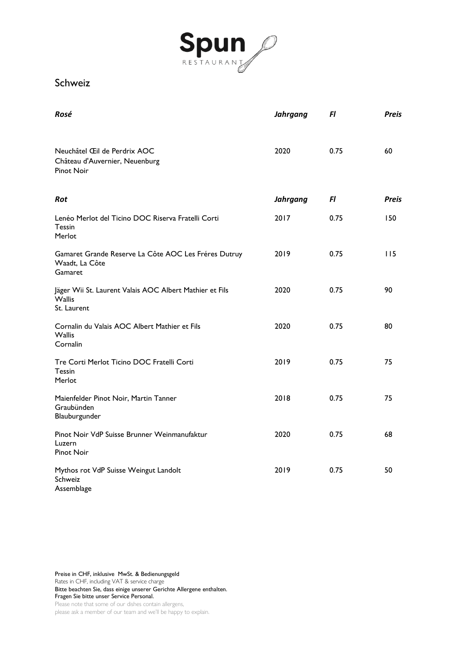

#### Schweiz

| Rosé                                                                                    | <b>Jahrgang</b> | FI   | <b>Preis</b> |
|-----------------------------------------------------------------------------------------|-----------------|------|--------------|
| Neuchâtel Œil de Perdrix AOC<br>Château d'Auvernier, Neuenburg<br><b>Pinot Noir</b>     | 2020            | 0.75 | 60           |
| <b>Rot</b>                                                                              | Jahrgang        | FI   | <b>Preis</b> |
| Lenéo Merlot del Ticino DOC Riserva Fratelli Corti<br>Tessin<br>Merlot                  | 2017            | 0.75 | 150          |
| Gamaret Grande Reserve La Côte AOC Les Fréres Dutruy<br>Waadt, La Côte<br>Gamaret       | 2019            | 0.75 | 115          |
| Jäger Wii St. Laurent Valais AOC Albert Mathier et Fils<br><b>Wallis</b><br>St. Laurent | 2020            | 0.75 | 90           |
| Cornalin du Valais AOC Albert Mathier et Fils<br><b>Wallis</b><br>Cornalin              | 2020            | 0.75 | 80           |
| Tre Corti Merlot Ticino DOC Fratelli Corti<br>Tessin<br>Merlot                          | 2019            | 0.75 | 75           |
| Maienfelder Pinot Noir, Martin Tanner<br>Graubünden<br>Blauburgunder                    | 2018            | 0.75 | 75           |
| Pinot Noir VdP Suisse Brunner Weinmanufaktur<br>Luzern<br><b>Pinot Noir</b>             | 2020            | 0.75 | 68           |
| Mythos rot VdP Suisse Weingut Landolt<br>Schweiz<br>Assemblage                          | 2019            | 0.75 | 50           |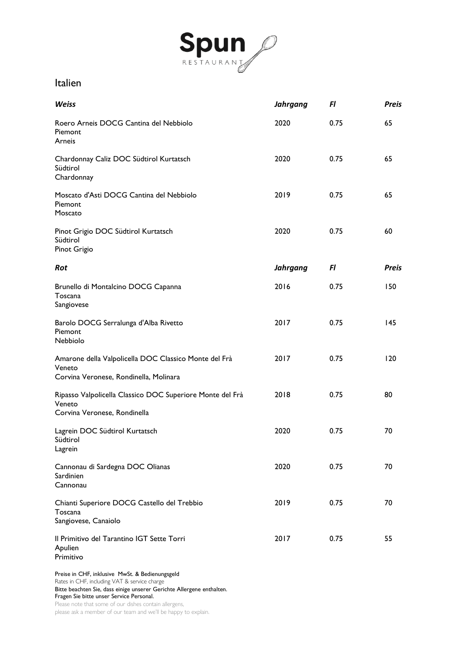

#### Italien

| Weiss                                                                                                     | <b>Jahrgang</b> | Fl   | <b>Preis</b> |
|-----------------------------------------------------------------------------------------------------------|-----------------|------|--------------|
| Roero Arneis DOCG Cantina del Nebbiolo<br>Piemont<br>Arneis                                               | 2020            | 0.75 | 65           |
| Chardonnay Caliz DOC Südtirol Kurtatsch<br>Südtirol<br>Chardonnay                                         | 2020            | 0.75 | 65           |
| Moscato d'Asti DOCG Cantina del Nebbiolo<br>Piemont<br>Moscato                                            | 2019            | 0.75 | 65           |
| Pinot Grigio DOC Südtirol Kurtatsch<br>Südtirol<br>Pinot Grigio                                           | 2020            | 0.75 | 60           |
| Rot                                                                                                       | <b>Jahrgang</b> | F1   | <b>Preis</b> |
| Brunello di Montalcino DOCG Capanna<br>Toscana<br>Sangiovese                                              | 2016            | 0.75 | 150          |
| Barolo DOCG Serralunga d'Alba Rivetto<br>Piemont<br>Nebbiolo                                              | 2017            | 0.75 | 145          |
| Amarone della Valpolicella DOC Classico Monte del Frà<br>Veneto<br>Corvina Veronese, Rondinella, Molinara | 2017            | 0.75 | 120          |
| Ripasso Valpolicella Classico DOC Superiore Monte del Frà<br>Veneto<br>Corvina Veronese, Rondinella       | 2018            | 0.75 | 80           |
| Lagrein DOC Südtirol Kurtatsch<br>Südtirol<br>Lagrein                                                     | 2020            | 0.75 | 70           |
| Cannonau di Sardegna DOC Olianas<br>Sardinien<br>Cannonau                                                 | 2020            | 0.75 | 70           |
| Chianti Superiore DOCG Castello del Trebbio<br>Toscana<br>Sangiovese, Canaiolo                            | 2019            | 0.75 | 70           |
| Il Primitivo del Tarantino IGT Sette Torri<br>Apulien<br>Primitivo                                        | 2017            | 0.75 | 55           |

Preise in CHF, inklusive MwSt. & Bedienungsgeld

Rates in CHF, including VAT & service charge Bitte beachten Sie, dass einige unserer Gerichte Allergene enthalten.

Fragen Sie bitte unser Service Personal.

Please note that some of our dishes contain allergens,

please ask a member of our team and we'll be happy to explain.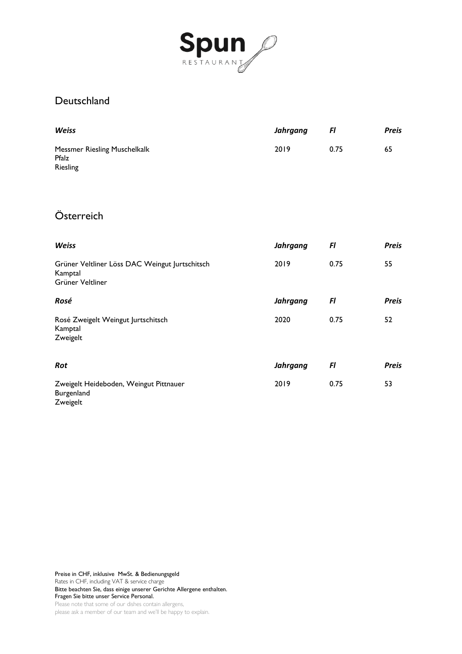

## Deutschland

| <b>Weiss</b>                                                    | Jahrgang | FI   | <b>Preis</b> |
|-----------------------------------------------------------------|----------|------|--------------|
| <b>Messmer Riesling Muschelkalk</b><br>Pfalz<br><b>Riesling</b> | 2019     | 0.75 | 65           |

# Österreich

| <b>Weiss</b>                                                                  | Jahrgang        | Fl   | <b>Preis</b> |
|-------------------------------------------------------------------------------|-----------------|------|--------------|
| Grüner Veltliner Löss DAC Weingut Jurtschitsch<br>Kamptal<br>Grüner Veltliner | 2019            | 0.75 | 55           |
| Rosé                                                                          | <b>Jahrgang</b> | FI   | <b>Preis</b> |
| Rosé Zweigelt Weingut Jurtschitsch<br>Kamptal<br>Zweigelt                     | 2020            | 0.75 | 52           |
| Rot                                                                           | <b>Jahrgang</b> | Fl   | <b>Preis</b> |
| Zweigelt Heideboden, Weingut Pittnauer<br>Burgenland<br>Zweigelt              | 2019            | 0.75 | 53           |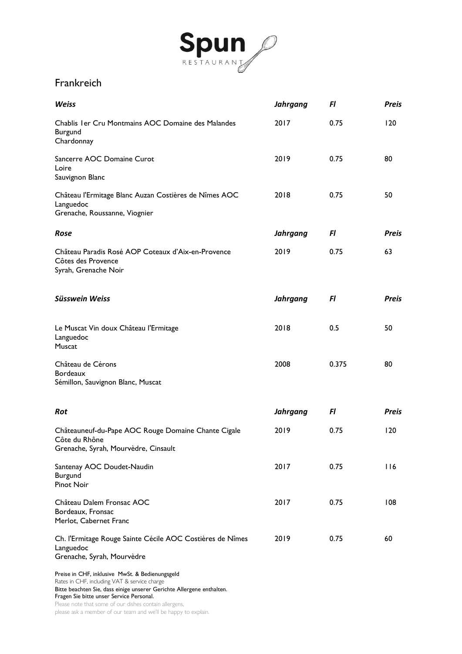

### Frankreich

| <b>Weiss</b>                                                                                                                                                             | <b>Jahrgang</b> | Fl    | <b>Preis</b> |
|--------------------------------------------------------------------------------------------------------------------------------------------------------------------------|-----------------|-------|--------------|
| Chablis I er Cru Montmains AOC Domaine des Malandes<br>Burgund<br>Chardonnay                                                                                             | 2017            | 0.75  | 120          |
| Sancerre AOC Domaine Curot<br>Loire<br>Sauvignon Blanc                                                                                                                   | 2019            | 0.75  | 80           |
| Château l'Ermitage Blanc Auzan Costières de Nîmes AOC<br>Languedoc<br>Grenache, Roussanne, Viognier                                                                      | 2018            | 0.75  | 50           |
| Rose                                                                                                                                                                     | Jahrgang        | Fl    | <b>Preis</b> |
| Château Paradis Rosé AOP Coteaux d'Aix-en-Provence<br>Côtes des Provence<br>Syrah, Grenache Noir                                                                         | 2019            | 0.75  | 63           |
| <b>Süsswein Weiss</b>                                                                                                                                                    | <b>Jahrgang</b> | Fl    | Preis        |
| Le Muscat Vin doux Château l'Ermitage<br>Languedoc<br>Muscat                                                                                                             | 2018            | 0.5   | 50           |
| Château de Cérons<br><b>Bordeaux</b><br>Sémillon, Sauvignon Blanc, Muscat                                                                                                | 2008            | 0.375 | 80           |
| <b>Rot</b>                                                                                                                                                               | <b>Jahrgang</b> | Fl    | Preis        |
| Châteauneuf-du-Pape AOC Rouge Domaine Chante Cigale<br>Côte du Rhône<br>Grenache, Syrah, Mourvèdre, Cinsault                                                             | 2019            | 0.75  | 120          |
| Santenay AOC Doudet-Naudin<br>Burgund<br>Pinot Noir                                                                                                                      | 2017            | 0.75  | 116          |
| Château Dalem Fronsac AOC<br>Bordeaux, Fronsac<br>Merlot, Cabernet Franc                                                                                                 | 2017            | 0.75  | 108          |
| Ch. l'Ermitage Rouge Sainte Cécile AOC Costières de Nîmes<br>Languedoc<br>Grenache, Syrah, Mourvèdre                                                                     | 2019            | 0.75  | 60           |
| Preise in CHF, inklusive MwSt. & Bedienungsgeld<br>Rates in CHF, including VAT & service charge<br>Bitte beachten Sie, dass einige unserer Gerichte Allergene enthalten. |                 |       |              |

Fragen Sie bitte unser Service Personal.

Please note that some of our dishes contain allergens,

please ask a member of our team and we'll be happy to explain.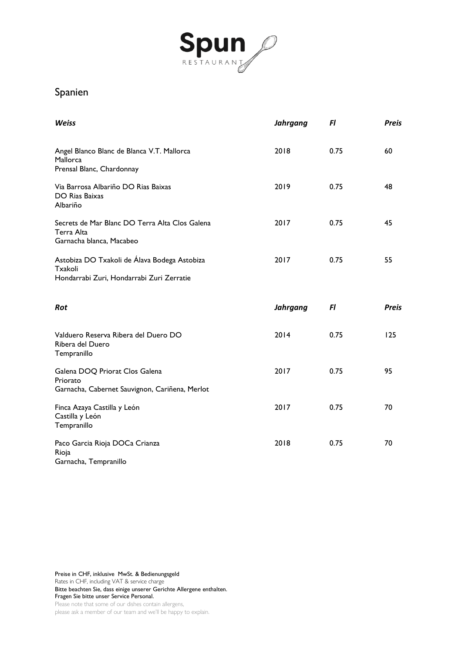

# Spanien

| <b>Weiss</b>                                                                                         | <b>Jahrgang</b> | FI   | <b>Preis</b> |
|------------------------------------------------------------------------------------------------------|-----------------|------|--------------|
| Angel Blanco Blanc de Blanca V.T. Mallorca<br>Mallorca<br>Prensal Blanc, Chardonnay                  | 2018            | 0.75 | 60           |
| Via Barrosa Albariño DO Rias Baixas<br>DO Rias Baixas<br>Albariño                                    | 2019            | 0.75 | 48           |
| Secrets de Mar Blanc DO Terra Alta Clos Galena<br>Terra Alta<br>Garnacha blanca, Macabeo             | 2017            | 0.75 | 45           |
| Astobiza DO Txakoli de Álava Bodega Astobiza<br>Txakoli<br>Hondarrabi Zuri, Hondarrabi Zuri Zerratie | 2017            | 0.75 | 55           |
| <b>Rot</b>                                                                                           | <b>Jahrgang</b> | FI   | <b>Preis</b> |
|                                                                                                      |                 |      |              |
| Valduero Reserva Ribera del Duero DO<br>Ribera del Duero<br>Tempranillo                              | 2014            | 0.75 | 125          |
| Galena DOQ Priorat Clos Galena<br>Priorato<br>Garnacha, Cabernet Sauvignon, Cariñena, Merlot         | 2017            | 0.75 | 95           |
| Finca Azaya Castilla y León<br>Castilla y León<br>Tempranillo                                        | 2017            | 0.75 | 70           |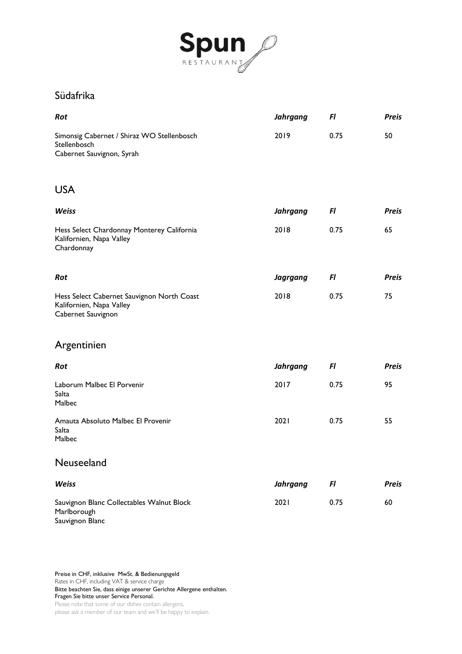

### Südafrika

| Rot                                                                                          | <b>Jahrgang</b> | Fl   | <b>Preis</b> |
|----------------------------------------------------------------------------------------------|-----------------|------|--------------|
| Simonsig Cabernet / Shiraz WO Stellenbosch<br>Stellenbosch<br>Cabernet Sauvignon, Syrah      | 2019            | 0.75 | 50           |
| <b>USA</b>                                                                                   |                 |      |              |
| <b>Weiss</b>                                                                                 | <b>Jahrgang</b> | Fl   | <b>Preis</b> |
| Hess Select Chardonnay Monterey California<br>Kalifornien, Napa Valley<br>Chardonnay         | 2018            | 0.75 | 65           |
| Rot                                                                                          | <b>Jagrgang</b> | Fl   | <b>Preis</b> |
| Hess Select Cabernet Sauvignon North Coast<br>Kalifornien, Napa Valley<br>Cabernet Sauvignon | 2018            | 0.75 | 75           |
| Argentinien                                                                                  |                 |      |              |
| Rot                                                                                          | <b>Jahrgang</b> | Fl   | <b>Preis</b> |
| Laborum Malbec El Porvenir<br>Salta<br>Malbec                                                | 2017            | 0.75 | 95           |
| Amauta Absoluto Malbec El Provenir<br>Salta<br>Malbec                                        | 2021            | 0.75 | 55           |
| Neuseeland                                                                                   |                 |      |              |
| <b>Weiss</b>                                                                                 | <b>Jahrgang</b> | FI   | <b>Preis</b> |
| Sauvignon Blanc Collectables Walnut Block<br>Marlborough<br>Sauvignon Blanc                  | 2021            | 0.75 | 60           |